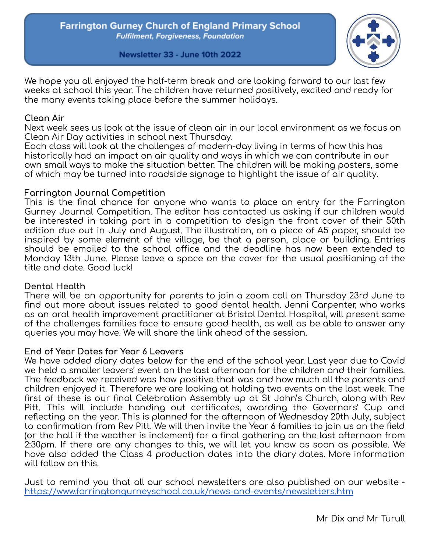

Newsletter 33 - June 10th 2022

We hope you all enjoyed the half-term break and are looking forward to our last few weeks at school this year. The children have returned positively, excited and ready for the many events taking place before the summer holidays.

## **Clean Air**

Next week sees us look at the issue of clean air in our local environment as we focus on Clean Air Day activities in school next Thursday.

Each class will look at the challenges of modern-day living in terms of how this has historically had an impact on air quality and ways in which we can contribute in our own small ways to make the situation better. The children will be making posters, some of which may be turned into roadside signage to highlight the issue of air quality.

# **Farrington Journal Competition**

This is the final chance for anyone who wants to place an entry for the Farrington Gurney Journal Competition. The editor has contacted us asking if our children would be interested in taking part in a competition to design the front cover of their 50th edition due out in July and August. The illustration, on a piece of A5 paper, should be inspired by some element of the village, be that a person, place or building. Entries should be emailed to the school office and the deadline has now been extended to Monday 13th June. Please leave a space on the cover for the usual positioning of the title and date. Good luck!

# **Dental Health**

There will be an opportunity for parents to join a zoom call on Thursday 23rd June to find out more about issues related to good dental health. Jenni Carpenter, who works as an oral health improvement practitioner at Bristol Dental Hospital, will present some of the challenges families face to ensure good health, as well as be able to answer any queries you may have. We will share the link ahead of the session.

# **End of Year Dates for Year 6 Leavers**

We have added diary dates below for the end of the school year. Last year due to Covid we held a smaller leavers' event on the last afternoon for the children and their families. The feedback we received was how positive that was and how much all the parents and children enjoyed it. Therefore we are looking at holding two events on the last week. The first of these is our final Celebration Assembly up at St John's Church, along with Rev Pitt. This will include handing out certificates, awarding the Governors' Cup and reflecting on the year. This is planned for the afternoon of Wednesday 20th July, subject to confirmation from Rev Pitt. We will then invite the Year 6 families to join us on the field (or the hall if the weather is inclement) for a final gathering on the last afternoon from 2:30pm. If there are any changes to this, we will let you know as soon as possible. We have also added the Class 4 production dates into the diary dates. More information will follow on this.

Just to remind you that all our school newsletters are also published on our website <https://www.farringtongurneyschool.co.uk/news-and-events/newsletters.htm>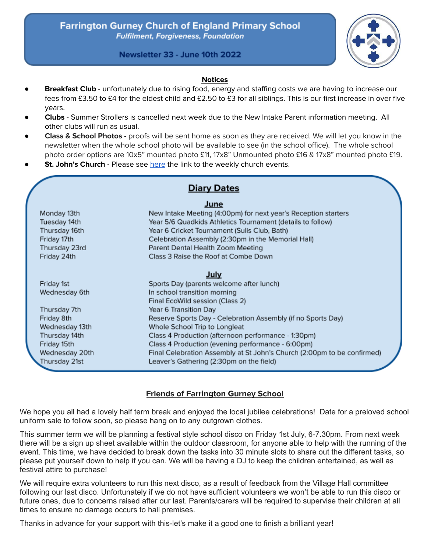

Newsletter 33 - June 10th 2022

#### **Notices**

- **Breakfast Club** unfortunately due to rising food, energy and staffing costs we are having to increase our fees from £3.50 to £4 for the eldest child and £2.50 to £3 for all siblings. This is our first increase in over five years.
- **Clubs** Summer Strollers is cancelled next week due to the New Intake Parent information meeting. All other clubs will run as usual.
- **Class & School Photos -** proofs will be sent home as soon as they are received. We will let you know in the newsletter when the whole school photo will be available to see (in the school office). The whole school photo order options are 10x5" mounted photo £11, 17x8" Unmounted photo £16 & 17x8" mounted photo £19.
- **St. John's Church -** Please see [here](https://mailchi.mp/cccf875f0a7a/paulton-benefice-zoom-service-16239026) the link to the weekly church events.

|                | <b>Diary Dates</b>                                                      |
|----------------|-------------------------------------------------------------------------|
|                | June                                                                    |
| Monday 13th    | New Intake Meeting (4:00pm) for next year's Reception starters          |
| Tuesday 14th   | Year 5/6 Quadkids Athletics Tournament (details to follow)              |
| Thursday 16th  | Year 6 Cricket Tournament (Sulis Club, Bath)                            |
| Friday 17th    | Celebration Assembly (2:30pm in the Memorial Hall)                      |
| Thursday 23rd  | Parent Dental Health Zoom Meeting                                       |
| Friday 24th    | Class 3 Raise the Roof at Combe Down                                    |
|                | July                                                                    |
| Friday 1st     | Sports Day (parents welcome after lunch)                                |
| Wednesday 6th  | In school transition morning                                            |
|                | Final EcoWild session (Class 2)                                         |
| Thursday 7th   | Year 6 Transition Day                                                   |
| Friday 8th     | Reserve Sports Day - Celebration Assembly (if no Sports Day)            |
| Wednesday 13th | Whole School Trip to Longleat                                           |
| Thursday 14th  | Class 4 Production (afternoon performance - 1:30pm)                     |
| Friday 15th    | Class 4 Production (evening performance - 6:00pm)                       |
| Wednesday 20th | Final Celebration Assembly at St John's Church (2:00pm to be confirmed) |
| Thursday 21st  | Leaver's Gathering (2:30pm on the field)                                |

### **Friends of Farrington Gurney School**

We hope you all had a lovely half term break and enjoyed the local jubilee celebrations! Date for a preloved school uniform sale to follow soon, so please hang on to any outgrown clothes.

This summer term we will be planning a festival style school disco on Friday 1st July, 6-7.30pm. From next week there will be a sign up sheet available within the outdoor classroom, for anyone able to help with the running of the event. This time, we have decided to break down the tasks into 30 minute slots to share out the different tasks, so please put yourself down to help if you can. We will be having a DJ to keep the children entertained, as well as festival attire to purchase!

We will require extra volunteers to run this next disco, as a result of feedback from the Village Hall committee following our last disco. Unfortunately if we do not have sufficient volunteers we won't be able to run this disco or future ones, due to concerns raised after our last. Parents/carers will be required to supervise their children at all times to ensure no damage occurs to hall premises.

Thanks in advance for your support with this-let's make it a good one to finish a brilliant year!